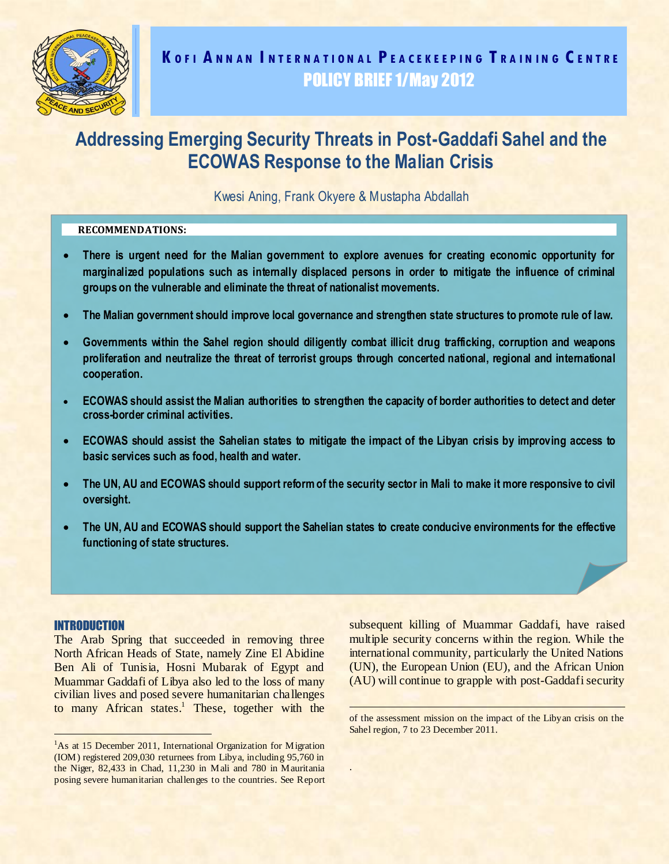

Kwesi Aning, Frank Okyere & Mustapha Abdallah

## **RECOMMENDATIONS:**

- **There is urgent need for the Malian government to explore avenues for creating economic opportunity for marginalized populations such as internally displaced persons in order to mitigate the influence of criminal groups on the vulnerable and eliminate the threat of nationalist movements.**
- **The Malian government should improve local governance and strengthen state structures to promote rule of law.**
- **Governments within the Sahel region should diligently combat illicit drug trafficking, corruption and weapons proliferation and neutralize the threat of terrorist groups through concerted national, regional and international cooperation.**
- **ECOWAS should assist the Malian authorities to strengthen the capacity of border authorities to detect and deter cross-border criminal activities.**
- **ECOWAS should assist the Sahelian states to mitigate the impact of the Libyan crisis by improving access to basic services such as food, health and water.**
- **The UN, AU and ECOWAS should support reform of the security sector in Mali to make it more responsive to civil oversight.**
- **The UN, AU and ECOWAS should support the Sahelian states to create conducive environments for the effective functioning of state structures.**

.

#### INTRODUCTION

The Arab Spring that succeeded in removing three North African Heads of State, namely Zine El Abidine Ben Ali of Tunisia, Hosni Mubarak of Egypt and Muammar Gaddafi of Libya also led to the loss of many civilian lives and posed severe humanitarian challenges to many African states.<sup>1</sup> These, together with the subsequent killing of Muammar Gaddafi, have raised multiple security concerns within the region. While the international community, particularly the United Nations (UN), the European Union (EU), and the African Union (AU) will continue to grapple with post-Gaddafi security

<sup>&</sup>lt;sup>1</sup>As at 15 December 2011, International Organization for Migration (IOM) registered 209,030 returnees from Libya, including 95,760 in the Niger, 82,433 in Chad, 11,230 in Mali and 780 in Mauritania posing severe humanitarian challenges to the countries. See Report

of the assessment mission on the impact of the Libyan crisis on the Sahel region, 7 to 23 December 2011.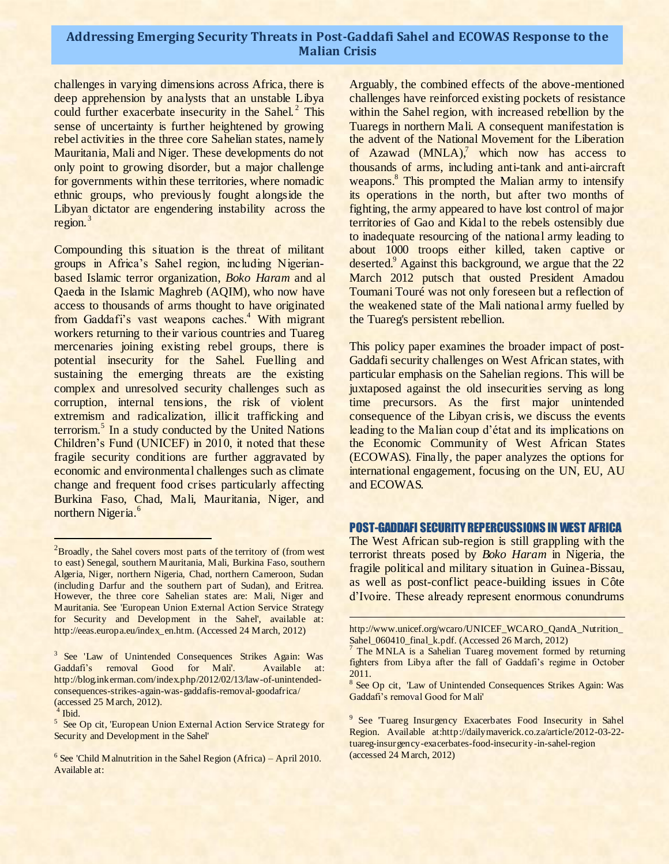challenges in varying dimensions across Africa, there is deep apprehension by analysts that an unstable Libya could further exacerbate insecurity in the Sahel.<sup>2</sup> This sense of uncertainty is further heightened by growing rebel activities in the three core Sahelian states, namely Mauritania, Mali and Niger. These developments do not only point to growing disorder, but a major challenge for governments within these territories, where nomadic ethnic groups, who previously fought alongside the Libyan dictator are engendering instability across the region.<sup>3</sup>

Compounding this situation is the threat of militant groups in Africa's Sahel region, including Nigerianbased Islamic terror organization, *Boko Haram* and al Qaeda in the Islamic Maghreb (AQIM), who now have access to thousands of arms thought to have originated from Gaddafi's vast weapons caches.<sup>4</sup> With migrant workers returning to their various countries and Tuareg mercenaries joining existing rebel groups, there is potential insecurity for the Sahel. Fuelling and sustaining the emerging threats are the existing complex and unresolved security challenges such as corruption, internal tensions, the risk of violent extremism and radicalization, illicit trafficking and terrorism.<sup>5</sup> In a study conducted by the United Nations Children's Fund (UNICEF) in 2010, it noted that these fragile security conditions are further aggravated by economic and environmental challenges such as climate change and frequent food crises particularly affecting Burkina Faso, Chad, Mali, Mauritania, Niger, and northern Nigeria.<sup>6</sup>

<sup>5</sup> See Op cit, 'European Union External Action Service Strategy for Security and Development in the Sahel'

 $6$  See 'Child Malnutrition in the Sahel Region (Africa) – April 2010. Available at:

Arguably, the combined effects of the above-mentioned challenges have reinforced existing pockets of resistance within the Sahel region, with increased rebellion by the Tuaregs in northern Mali. A consequent manifestation is the advent of the National Movement for the Liberation of Azawad  $(MNLA)$ , which now has access to thousands of arms, including anti-tank and anti-aircraft weapons. 8 This prompted the Malian army to intensify its operations in the north, but after two months of fighting, the army appeared to have lost control of major territories of Gao and Kidal to the rebels ostensibly due to inadequate resourcing of the national army leading to about 1000 troops either killed, taken captive or deserted.<sup>9</sup> Against this background, we argue that the 22 March 2012 putsch that ousted President Amadou Toumani Touré was not only foreseen but a reflection of the weakened state of the Mali national army fuelled by the Tuareg's persistent rebellion.

This policy paper examines the broader impact of post-Gaddafi security challenges on West African states, with particular emphasis on the Sahelian regions. This will be juxtaposed against the old insecurities serving as long time precursors. As the first major unintended consequence of the Libyan crisis, we discuss the events leading to the Malian coup d'état and its implications on the Economic Community of West African States (ECOWAS). Finally, the paper analyzes the options for international engagement, focusing on the UN, EU, AU and ECOWAS.

#### POST-GADDAFI SECURITY REPERCUSSIONS IN WEST AFRICA

The West African sub-region is still grappling with the terrorist threats posed by *Boko Haram* in Nigeria*,* the fragile political and military situation in Guinea-Bissau, as well as post-conflict peace-building issues in Côte d'Ivoire. These already represent enormous conundrums

<sup>&</sup>lt;sup>2</sup>Broadly, the Sahel covers most parts of the territory of (from west to east) Senegal, southern Mauritania, Mali, Burkina Faso, southern Algeria, Niger, northern Nigeria, Chad, northern Cameroon, Sudan (including Darfur and the southern part of Sudan), and Eritrea. However, the three core Sahelian states are: Mali, Niger and Mauritania. See 'European Union External Action Service Strategy for Security and Development in the Sahel', available at: http://eeas.europa.eu/index\_en.htm. (Accessed 24 March, 2012)

<sup>&</sup>lt;sup>3</sup> See 'Law of Unintended Consequences Strikes Again: Was Gaddafi's removal Good for Mali'. Available at: http://blog.inkerman.com/index.php/2012/02/13/law-of-unintendedconsequences-strikes-again-was-gaddafis-removal-goodafrica/ (accessed 25 March, 2012).

<sup>4</sup> Ibid.

http://www.unicef.org/wcaro/UNICEF\_WCARO\_QandA\_Nutrition\_ Sahel\_060410\_final\_k.pdf. (Accessed 26 March, 2012)

The MNLA is a Sahelian Tuareg movement formed by returning fighters from Libya after the fall of Gaddafi's regime in October 2011.

<sup>&</sup>lt;sup>8</sup> See Op cit, 'Law of Unintended Consequences Strikes Again: Was Gaddafi's removal Good for Mali'

<sup>&</sup>lt;sup>9</sup> See 'Tuareg Insurgency Exacerbates Food Insecurity in Sahel Region. Available at:http://dailymaverick.co.za/article/2012-03-22 tuareg-insurgency-exacerbates-food-insecurity-in-sahel-region (accessed 24 March, 2012)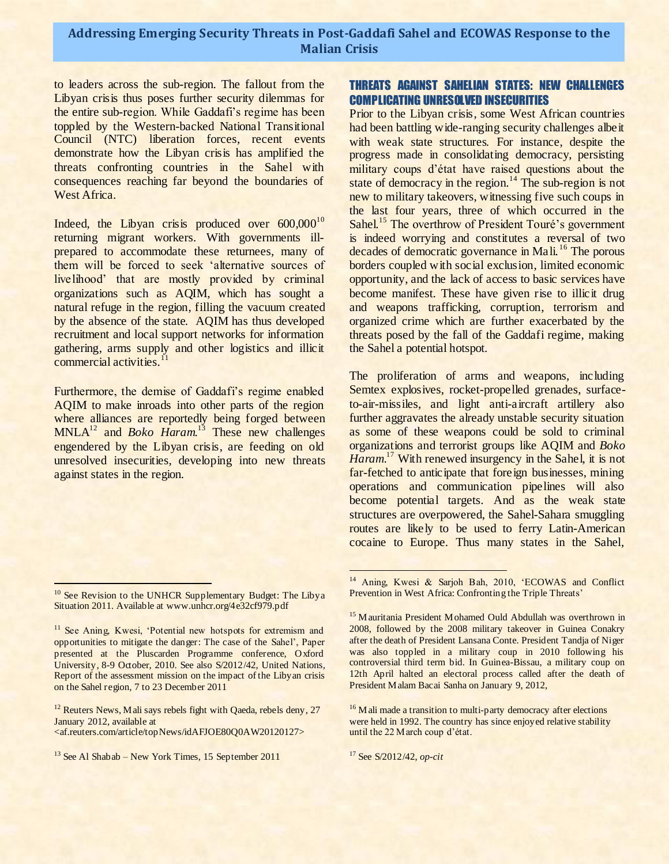to leaders across the sub-region. The fallout from the Libyan crisis thus poses further security dilemmas for the entire sub-region. While Gaddafi's regime has been toppled by the Western-backed National Transitional Council (NTC) liberation forces, recent events demonstrate how the Libyan crisis has amplified the threats confronting countries in the Sahel with consequences reaching far beyond the boundaries of West Africa.

Indeed, the Libyan crisis produced over  $600,000^{10}$ returning migrant workers. With governments illprepared to accommodate these returnees, many of them will be forced to seek 'alternative sources of livelihood' that are mostly provided by criminal organizations such as AQIM, which has sought a natural refuge in the region, filling the vacuum created by the absence of the state. AQIM has thus developed recruitment and local support networks for information gathering, arms supply and other logistics and illicit commercial activities.<sup>1</sup>

Furthermore, the demise of Gaddafi's regime enabled AQIM to make inroads into other parts of the region where alliances are reportedly being forged between MNLA<sup>12</sup> and *Boko Haram.*<sup>13</sup> These new challenges engendered by the Libyan crisis, are feeding on old unresolved insecurities, developing into new threats against states in the region.

<sup>12</sup> Reuters News, Mali says rebels fight with Qaeda, rebels deny, 27 January 2012, available at <af.reuters.com/article/topNews/idAFJOE80Q0AW20120127>

# THREATS AGAINST SAHELIAN STATES: NEW CHALLENGES COMPLICATING UNRESOLVED INSECURITIES

Prior to the Libyan crisis, some West African countries had been battling wide-ranging security challenges albeit with weak state structures. For instance, despite the progress made in consolidating democracy, persisting military coups d'état have raised questions about the state of democracy in the region.<sup>14</sup> The sub-region is not new to military takeovers, witnessing five such coups in the last four years, three of which occurred in the Sahel.<sup>15</sup> The overthrow of President Touré's government is indeed worrying and constitutes a reversal of two decades of democratic governance in Mali.<sup>16</sup> The porous borders coupled with social exclusion, limited economic opportunity, and the lack of access to basic services have become manifest. These have given rise to illicit drug and weapons trafficking, corruption, terrorism and organized crime which are further exacerbated by the threats posed by the fall of the Gaddafi regime, making the Sahel a potential hotspot.

The proliferation of arms and weapons, including Semtex explosives, rocket-propelled grenades, surfaceto-air-missiles, and light anti-aircraft artillery also further aggravates the already unstable security situation as some of these weapons could be sold to criminal organizations and terrorist groups like AQIM and *Boko*  Haram.<sup>17</sup> With renewed insurgency in the Sahel, it is not far-fetched to anticipate that foreign businesses, mining operations and communication pipelines will also become potential targets. And as the weak state structures are overpowered, the Sahel-Sahara smuggling routes are likely to be used to ferry Latin-American cocaine to Europe. Thus many states in the Sahel,

<sup>&</sup>lt;sup>10</sup> See Revision to the UNHCR Supplementary Budget: The Libya Situation 2011. Available at www.unhcr.org/4e32cf979.pdf

<sup>&</sup>lt;sup>11</sup> See Aning, Kwesi, 'Potential new hotspots for extremism and opportunities to mitigate the danger: The case of the Sahel', Paper presented at the Pluscarden Programme conference, Oxford University, 8-9 October, 2010. See also S/2012/42, United Nations, Report of the assessment mission on the impact of the Libyan crisis on the Sahel region, 7 to 23 December 2011

<sup>&</sup>lt;sup>13</sup> See Al Shabab – New York Times, 15 September 2011

<sup>&</sup>lt;sup>14</sup> Aning, Kwesi & Sarjoh Bah, 2010, 'ECOWAS and Conflict Prevention in West Africa: Confronting the Triple Threats'

<sup>&</sup>lt;sup>15</sup> Mauritania President Mohamed Ould Abdullah was overthrown in 2008, followed by the 2008 military takeover in Guinea Conakry after the death of President Lansana Conte. President Tandja of Niger was also toppled in a military coup in 2010 following his controversial third term bid. In Guinea-Bissau, a military coup on 12th April halted an electoral process called after the death of President Malam Bacai Sanha on January 9, 2012,

<sup>&</sup>lt;sup>16</sup> Mali made a transition to multi-party democracy after elections were held in 1992. The country has since enjoyed relative stability until the 22 March coup d'état.

<sup>17</sup> See S/2012/42, *op-cit*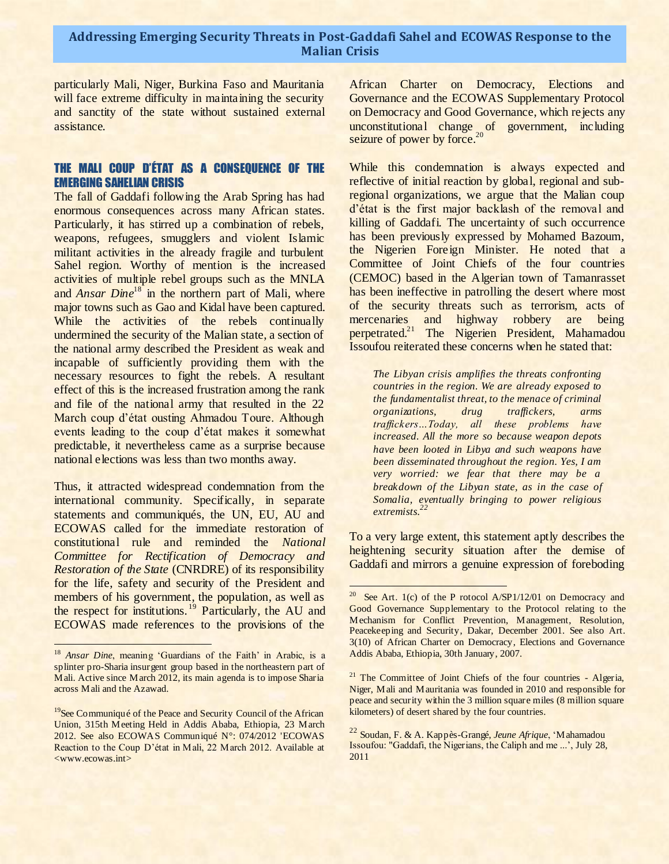$\overline{a}$ 

particularly Mali, Niger, Burkina Faso and Mauritania will face extreme difficulty in maintaining the security and sanctity of the state without sustained external assistance.

### THE MALI COUP D'ÉTAT AS A CONSEQUENCE OF THE EMERGING SAHELIAN CRISIS

The fall of Gaddafi following the Arab Spring has had enormous consequences across many African states. Particularly, it has stirred up a combination of rebels, weapons, refugees, smugglers and violent Islamic militant activities in the already fragile and turbulent Sahel region. Worthy of mention is the increased activities of multiple rebel groups such as the MNLA and *Ansar Dine*<sup>18</sup> in the northern part of Mali, where major towns such as Gao and Kidal have been captured. While the activities of the rebels continually undermined the security of the Malian state, a section of the national army described the President as weak and incapable of sufficiently providing them with the necessary resources to fight the rebels. A resultant effect of this is the increased frustration among the rank and file of the national army that resulted in the 22 March coup d'état ousting Ahmadou Toure. Although events leading to the coup d'état makes it somewhat predictable, it nevertheless came as a surprise because national elections was less than two months away.

Thus, it attracted widespread condemnation from the international community. Specifically, in separate statements and communiqués, the UN, EU, AU and ECOWAS called for the immediate restoration of constitutional rule and reminded the *National Committee for Rectification of Democracy and Restoration of the State* (CNRDRE) of its responsibility for the life, safety and security of the President and members of his government, the population, as well as the respect for institutions.<sup>19</sup> Particularly, the AU and ECOWAS made references to the provisions of the

l<br>S

African Charter on Democracy, Elections and Governance and the ECOWAS Supplementary Protocol on Democracy and Good Governance, which rejects any unconstitutional change of government, including seizure of power by force.<sup>20</sup>

2

While this condemnation is always expected and reflective of initial reaction by global, regional and subregional organizations, we argue that the Malian coup d'état is the first major backlash of the removal and killing of Gaddafi. The uncertainty of such occurrence has been previously expressed by Mohamed Bazoum, the Nigerien Foreign Minister. He noted that a Committee of Joint Chiefs of the four countries (CEMOC) based in the Algerian town of Tamanrasset has been ineffective in patrolling the desert where most of the security threats such as terrorism, acts of mercenaries and highway robbery are being perpetrated.<sup>21</sup> The Nigerien President, Mahamadou Issoufou reiterated these concerns when he stated that:

*The Libyan crisis amplifies the threats confronting countries in the region. We are already exposed to the fundamentalist threat, to the menace of criminal organizations, drug traffickers, arms traffickers…Today, all these problems have increased. All the more so because weapon depots have been looted in Libya and such weapons have been disseminated throughout the region. Yes, I am very worried: we fear that there may be a breakdown of the Libyan state, as in the case of Somalia, eventually bringing to power religious extremists. 22*

To a very large extent, this statement aptly describes the heightening security situation after the demise of Gaddafi and mirrors a genuine expression of foreboding

<sup>&</sup>lt;sup>18</sup> *Ansar Dine*, meaning 'Guardians of the Faith' in Arabic, is a splinter pro-Sharia insurgent group based in the northeastern part of Mali. Active since March 2012, its main agenda is to impose Sharia across Mali and the Azawad.

<sup>&</sup>lt;sup>19</sup>See Communiqué of the Peace and Security Council of the African Union, 315th Meeting Held in Addis Ababa, Ethiopia, 23 March 2012. See also ECOWAS Communiqué N°: 074/2012 'ECOWAS Reaction to the Coup D'état in Mali, 22 March 2012. Available at <www.ecowas.int>

<sup>&</sup>lt;sup>20</sup> See Art. 1(c) of the P rotocol A/SP1/12/01 on Democracy and Good Governance Supplementary to the Protocol relating to the Mechanism for Conflict Prevention, Management, Resolution, Peacekeeping and Security, Dakar, December 2001. See also Art. 3(10) of African Charter on Democracy, Elections and Governance Addis Ababa, Ethiopia, 30th January, 2007.

<sup>&</sup>lt;sup>21</sup> The Committee of Joint Chiefs of the four countries - Algeria, Niger, Mali and Mauritania was founded in 2010 and responsible for peace and security within the 3 million square miles (8 million square kilometers) of desert shared by the four countries.

<sup>22</sup> Soudan, F. & A. Kappès-Grangé, *Jeune Afrique*, 'Mahamadou Issoufou: "Gaddafi, the Nigerians, the Caliph and me ...', July 28, 2011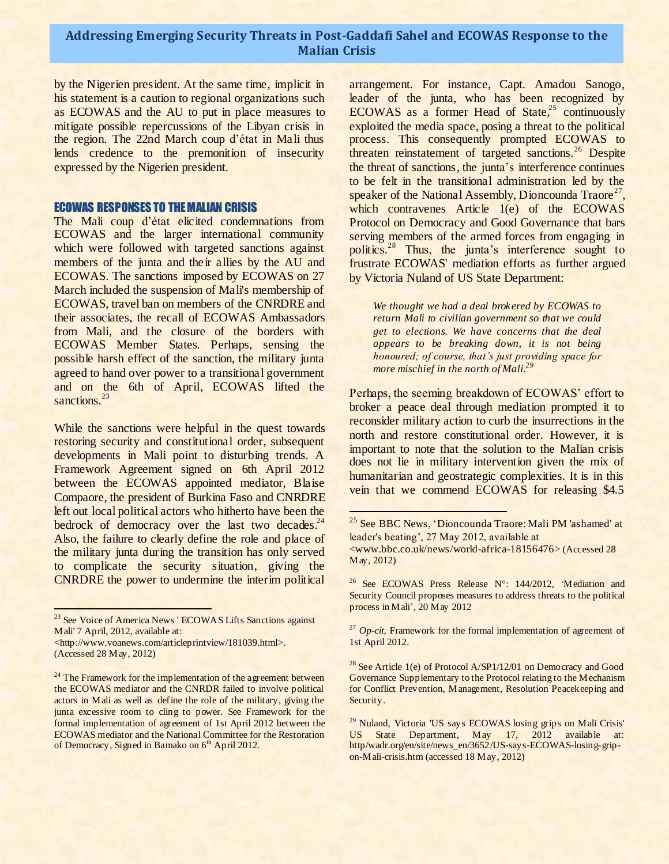by the Nigerien president. At the same time, implicit in his statement is a caution to regional organizations such as ECOWAS and the AU to put in place measures to mitigate possible repercussions of the Libyan crisis in the region. The 22nd March coup d'état in Mali thus lends credence to the premonition of insecurity expressed by the Nigerien president.

#### ECOWAS RESPONSES TO THE MALIAN CRISIS

The Mali coup d'état elicited condemnations from ECOWAS and the larger international community which were followed with targeted sanctions against members of the junta and their allies by the AU and ECOWAS. The sanctions imposed by ECOWAS on 27 March included the suspension of Mali's membership of ECOWAS, travel ban on members of the CNRDRE and their associates, the recall of ECOWAS Ambassadors from Mali, and the closure of the borders with ECOWAS Member States. Perhaps, sensing the possible harsh effect of the sanction, the military junta agreed to hand over power to a transitional government and on the 6th of April, ECOWAS lifted the sanctions.<sup>23</sup>

While the sanctions were helpful in the quest towards restoring security and constitutional order, subsequent developments in Mali point to disturbing trends. A Framework Agreement signed on 6th April 2012 between the ECOWAS appointed mediator, Blaise Compaore, the president of Burkina Faso and CNRDRE left out local political actors who hitherto have been the bedrock of democracy over the last two decades.<sup>24</sup> Also, the failure to clearly define the role and place of the military junta during the transition has only served to complicate the security situation, giving the CNRDRE the power to undermine the interim political

arrangement. For instance, Capt. Amadou Sanogo, leader of the junta, who has been recognized by ECOWAS as a former Head of State, $25$  continuously exploited the media space, posing a threat to the political process. This consequently prompted ECOWAS to threaten reinstatement of targeted sanctions.<sup>26</sup> Despite the threat of sanctions, the junta's interference continues to be felt in the transitional administration led by the speaker of the National Assembly, Dioncounda Traore<sup>27</sup>, which contravenes Article  $1(e)$  of the ECOWAS Protocol on Democracy and Good Governance that bars serving members of the armed forces from engaging in politics.<sup>28</sup> Thus, the junta's interference sought to frustrate ECOWAS' mediation efforts as further argued by Victoria Nuland of US State Department:

*We thought we had a deal brokered by ECOWAS to return Mali to civilian government so that we could get to elections. We have concerns that the deal appears to be breaking down, it is not being honoured; of course, that's just providing space for more mischief in the north of Mali.<sup>29</sup>*

Perhaps, the seeming breakdown of ECOWAS' effort to broker a peace deal through mediation prompted it to reconsider military action to curb the insurrections in the north and restore constitutional order. However, it is important to note that the solution to the Malian crisis does not lie in military intervention given the mix of humanitarian and geostrategic complexities. It is in this vein that we commend ECOWAS for releasing \$4.5

<sup>&</sup>lt;sup>23</sup> See Voice of America News ' ECOWAS Lifts Sanctions against Mali' 7 April, 2012, available at: <http://www.voanews.com/articleprintview/181039.html>.

<sup>(</sup>Accessed 28 May, 2012)

<sup>&</sup>lt;sup>24</sup> The Framework for the implementation of the agreement between the ECOWAS mediator and the CNRDR failed to involve political actors in Mali as well as define the role of the military, giving the junta excessive room to cling to power. See Framework for the formal implementation of agreement of 1st April 2012 between the ECOWAS mediator and the National Committee for the Restoration of Democracy, Signed in Bamako on  $6<sup>th</sup>$  April 2012.

<sup>&</sup>lt;sup>25</sup> See BBC News, 'Dioncounda Traore: Mali PM 'ashamed' at leader's beating', 27 May 2012, available at

<sup>&</sup>lt;www.bbc.co.uk/news/world-africa-18156476> (Accessed 28 May, 2012)

<sup>&</sup>lt;sup>26</sup> See ECOWAS Press Release N°: 144/2012, 'Mediation and Security Council proposes measures to address threats to the political process in Mali', 20 May 2012

<sup>&</sup>lt;sup>27</sup> *Op-cit*, Framework for the formal implementation of agreement of 1st April 2012.

<sup>&</sup>lt;sup>28</sup> See Article 1(e) of Protocol A/SP1/12/01 on Democracy and Good Governance Supplementary to the Protocol relating to the Mechanism for Conflict Prevention, Management, Resolution Peacekeeping and Security.

<sup>&</sup>lt;sup>29</sup> Nuland, Victoria 'US says ECOWAS losing grips on Mali Crisis' US State Department, May 17, 2012 available at: http/wadr.org/en/site/news\_en/3652/US-says-ECOWAS-losing-gripon-Mali-crisis.htm (accessed 18 May, 2012)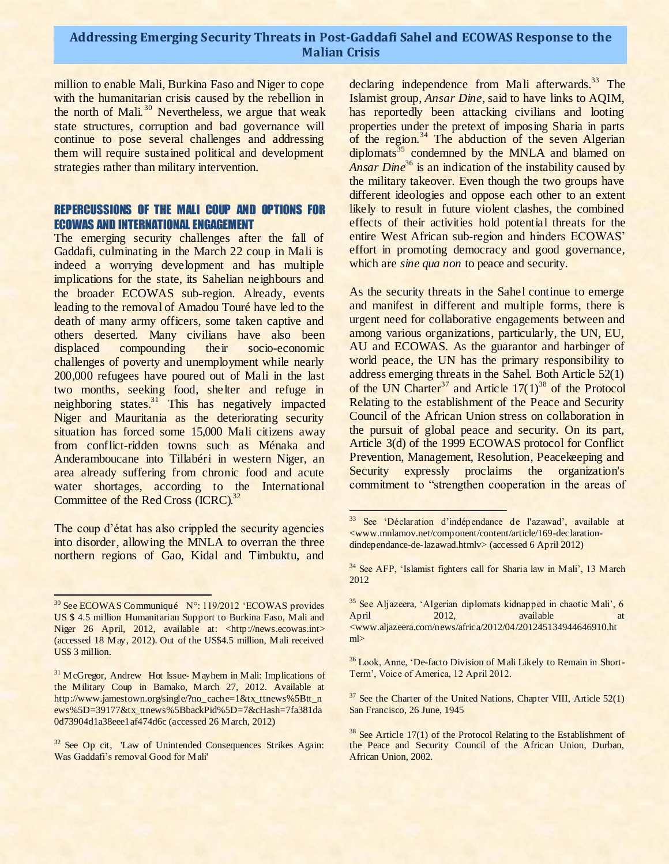million to enable Mali, Burkina Faso and Niger to cope with the humanitarian crisis caused by the rebellion in the north of Mali.<sup>30</sup> Nevertheless, we argue that weak state structures, corruption and bad governance will continue to pose several challenges and addressing them will require sustained political and development strategies rather than military intervention.

#### REPERCUSSIONS OF THE MALI COUP AND OPTIONS FOR ECOWAS AND INTERNATIONAL ENGAGEMENT

The emerging security challenges after the fall of Gaddafi, culminating in the March 22 coup in Mali is indeed a worrying development and has multiple implications for the state, its Sahelian neighbours and the broader ECOWAS sub-region. Already, events leading to the removal of Amadou Touré have led to the death of many army officers, some taken captive and others deserted. Many civilians have also been<br>displaced compounding their socio-economic displaced compounding their socio-economic challenges of poverty and unemployment while nearly 200,000 refugees have poured out of Mali in the last two months, seeking food, shelter and refuge in neighboring states.<sup>31</sup> This has negatively impacted Niger and Mauritania as the deteriorating security situation has forced some 15,000 Mali citizens away from conflict-ridden towns such as Ménaka and Anderamboucane into Tillabéri in western Niger, an area already suffering from chronic food and acute water shortages, according to the International Committee of the Red Cross (ICRC).<sup>32</sup>

The coup d'état has also crippled the security agencies into disorder, allowing the MNLA to overran the three northern regions of Gao, Kidal and Timbuktu, and

declaring independence from Mali afterwards.<sup>33</sup> The Islamist group, *Ansar Dine*, said to have links to AQIM, has reportedly been attacking civilians and looting properties under the pretext of imposing Sharia in parts of the region.<sup>34</sup> The abduction of the seven Algerian diplomats<sup>35</sup> condemned by the MNLA and blamed on *Ansar Dine*<sup>36</sup> is an indication of the instability caused by the military takeover. Even though the two groups have different ideologies and oppose each other to an extent likely to result in future violent clashes, the combined effects of their activities hold potential threats for the entire West African sub-region and hinders ECOWAS' effort in promoting democracy and good governance, which are *sine qua non* to peace and security.

2

As the security threats in the Sahel continue to emerge and manifest in different and multiple forms, there is urgent need for collaborative engagements between and among various organizations, particularly, the UN, EU, AU and ECOWAS. As the guarantor and harbinger of world peace, the UN has the primary responsibility to address emerging threats in the Sahel. Both Article 52(1) of the UN Charter<sup>37</sup> and Article  $17(1)^{38}$  of the Protocol Relating to the establishment of the Peace and Security Council of the African Union stress on collaboration in the pursuit of global peace and security. On its part, Article 3(d) of the 1999 ECOWAS protocol for Conflict Prevention, Management, Resolution, Peacekeeping and Security expressly proclaims the organization's commitment to "strengthen cooperation in the areas of

<sup>35</sup> See Aljazeera, 'Algerian diplomats kidnapped in chaotic Mali', 6 April 2012, available <www.aljazeera.com/news/africa/2012/04/201245134944646910.ht ml>

<sup>36</sup> Look, Anne, 'De-facto Division of Mali Likely to Remain in Short-Term', Voice of America, 12 April 2012.

 $37$  See the Charter of the United Nations, Chapter VIII, Article 52(1) San Francisco, 26 June, 1945

<sup>30</sup> See ECOWAS Communiqué N°: 119/2012 'ECOWAS provides US \$ 4.5 million Humanitarian Support to Burkina Faso, Mali and Niger 26 April, 2012, available at: <http://news.ecowas.int> (accessed 18 May, 2012). Out of the US\$4.5 million, Mali received US\$ 3 million.

<sup>&</sup>lt;sup>31</sup> McGregor, [Andrew](http://www.jamestown.org/articles-by-author/?no_cache=1&tx_cablanttnewsstaffrelation_pi1%5Bauthor%5D=153) Hot Issue- Mayhem in Mali: Implications of the Military Coup in Bamako, March 27, 2012. Available at http://www.jamestown.org/single/?no\_cache=1&tx\_ttnews%5Btt\_n ews%5D=39177&tx\_ttnews%5BbackPid%5D=7&cHash=7fa381da 0d73904d1a38eee1af474d6c (accessed 26 March, 2012)

<sup>&</sup>lt;sup>32</sup> See Op cit, 'Law of Unintended Consequences Strikes Again: Was Gaddafi's removal Good for Mali'

<sup>&</sup>lt;sup>33</sup> See 'Déclaration d'indépendance de l'azawad', available at <www.mnlamov.net/component/content/article/169-declarationdindependance-de-lazawad.htmlv> (accessed 6 April 2012)

<sup>&</sup>lt;sup>34</sup> See AFP, 'Islamist fighters call for Sharia law in Mali', 13 March 2012

 $38$  See Article 17(1) of the Protocol Relating to the Establishment of the Peace and Security Council of the African Union, Durban, African Union, 2002.